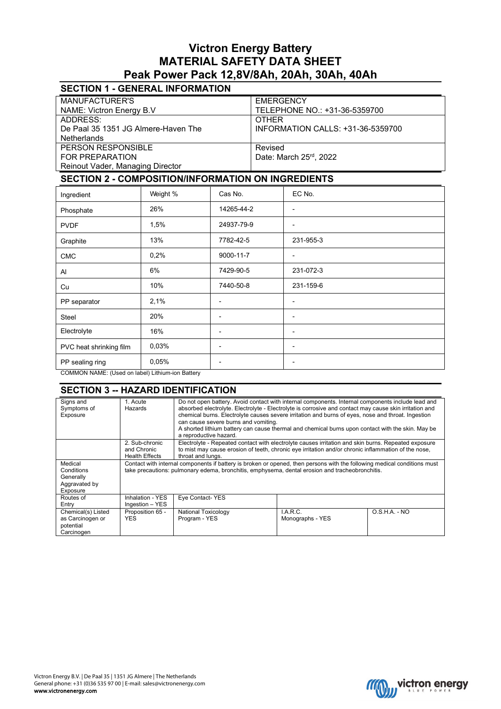# **Victron Energy Battery MATERIAL SAFETY DATA SHEET Peak Power Pack 12,8V/8Ah, 20Ah, 30Ah, 40Ah**

# **SECTION 1 - GENERAL INFORMATION**

| <b>MANUFACTURER'S</b>               | <b>EMERGENCY</b>                  |
|-------------------------------------|-----------------------------------|
| NAME: Victron Energy B.V            | TELEPHONE NO.: +31-36-5359700     |
| ADDRESS:                            | <b>OTHER</b>                      |
| De Paal 35 1351 JG Almere-Haven The | INFORMATION CALLS: +31-36-5359700 |
| <b>Netherlands</b>                  |                                   |
| PERSON RESPONSIBLE                  | Revised                           |
| FOR PREPARATION                     | Date: March 25rd, 2022            |
| Reinout Vader, Managing Director    |                                   |

## **SECTION 2 - COMPOSITION/INFORMATION ON INGREDIENTS**

| Ingredient              | Weight % | Cas No.                  | EC No.                   |
|-------------------------|----------|--------------------------|--------------------------|
| Phosphate               | 26%      | 14265-44-2               | ٠                        |
| <b>PVDF</b>             | 1,5%     | 24937-79-9               |                          |
| Graphite                | 13%      | 7782-42-5                | 231-955-3                |
| <b>CMC</b>              | 0,2%     | 9000-11-7                | -                        |
| Al                      | 6%       | 7429-90-5                | 231-072-3                |
| Cu                      | 10%      | 7440-50-8                | 231-159-6                |
| PP separator            | 2,1%     | -                        |                          |
| <b>Steel</b>            | 20%      | $\overline{\phantom{0}}$ | -                        |
| Electrolyte             | 16%      | -                        | $\overline{\phantom{0}}$ |
| PVC heat shrinking film | 0,03%    | $\overline{\phantom{0}}$ | -                        |
| PP sealing ring         | 0,05%    | $\overline{\phantom{0}}$ | $\overline{\phantom{0}}$ |

COMMON NAME: (Used on label) Lithium-ion Battery

#### **SECTION 3 -- HAZARD IDENTIFICATION**

| 1. Acute<br>Hazards   | Do not open battery. Avoid contact with internal components. Internal components include lead and<br>absorbed electrolyte. Electrolyte - Electrolyte is corrosive and contact may cause skin irritation and<br>chemical burns. Electrolyte causes severe irritation and burns of eyes, nose and throat. Ingestion<br>can cause severe burns and vomiting.<br>A shorted lithium battery can cause thermal and chemical burns upon contact with the skin. May be<br>a reproductive hazard. |                  |                                                                                                                                                                                                                                                                                                               |  |
|-----------------------|------------------------------------------------------------------------------------------------------------------------------------------------------------------------------------------------------------------------------------------------------------------------------------------------------------------------------------------------------------------------------------------------------------------------------------------------------------------------------------------|------------------|---------------------------------------------------------------------------------------------------------------------------------------------------------------------------------------------------------------------------------------------------------------------------------------------------------------|--|
| 2. Sub-chronic        |                                                                                                                                                                                                                                                                                                                                                                                                                                                                                          |                  |                                                                                                                                                                                                                                                                                                               |  |
| and Chronic           |                                                                                                                                                                                                                                                                                                                                                                                                                                                                                          |                  |                                                                                                                                                                                                                                                                                                               |  |
| <b>Health Effects</b> | throat and lungs.                                                                                                                                                                                                                                                                                                                                                                                                                                                                        |                  |                                                                                                                                                                                                                                                                                                               |  |
|                       | Contact with internal components if battery is broken or opened, then persons with the following medical conditions must                                                                                                                                                                                                                                                                                                                                                                 |                  |                                                                                                                                                                                                                                                                                                               |  |
|                       |                                                                                                                                                                                                                                                                                                                                                                                                                                                                                          |                  |                                                                                                                                                                                                                                                                                                               |  |
|                       |                                                                                                                                                                                                                                                                                                                                                                                                                                                                                          |                  |                                                                                                                                                                                                                                                                                                               |  |
|                       |                                                                                                                                                                                                                                                                                                                                                                                                                                                                                          |                  |                                                                                                                                                                                                                                                                                                               |  |
|                       |                                                                                                                                                                                                                                                                                                                                                                                                                                                                                          |                  |                                                                                                                                                                                                                                                                                                               |  |
| Inhalation - YES      | Eye Contact-YES                                                                                                                                                                                                                                                                                                                                                                                                                                                                          |                  |                                                                                                                                                                                                                                                                                                               |  |
| Ingestion - YES       |                                                                                                                                                                                                                                                                                                                                                                                                                                                                                          |                  |                                                                                                                                                                                                                                                                                                               |  |
| Proposition 65 -      | <b>National Toxicology</b>                                                                                                                                                                                                                                                                                                                                                                                                                                                               | I.A.R.C.         | $O.S.H.A. - NO$                                                                                                                                                                                                                                                                                               |  |
| <b>YES</b>            | Program - YES                                                                                                                                                                                                                                                                                                                                                                                                                                                                            | Monographs - YES |                                                                                                                                                                                                                                                                                                               |  |
|                       |                                                                                                                                                                                                                                                                                                                                                                                                                                                                                          |                  |                                                                                                                                                                                                                                                                                                               |  |
|                       |                                                                                                                                                                                                                                                                                                                                                                                                                                                                                          |                  |                                                                                                                                                                                                                                                                                                               |  |
|                       |                                                                                                                                                                                                                                                                                                                                                                                                                                                                                          |                  | Electrolyte - Repeated contact with electrolyte causes irritation and skin burns. Repeated exposure<br>to mist may cause erosion of teeth, chronic eye irritation and/or chronic inflammation of the nose,<br>take precautions: pulmonary edema, bronchitis, emphysema, dental erosion and tracheobronchitis. |  |

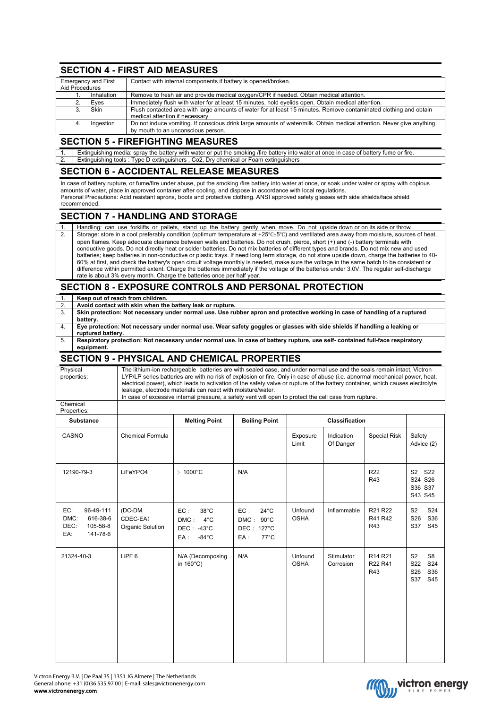### **SECTION 4 - FIRST AID MEASURES**

| <b>Emergency and First</b> |             | Contact with internal components if battery is opened/broken.                                                                                        |
|----------------------------|-------------|------------------------------------------------------------------------------------------------------------------------------------------------------|
| Aid Procedures             |             |                                                                                                                                                      |
|                            | Inhalation  | Remove to fresh air and provide medical oxygen/CPR if needed. Obtain medical attention.                                                              |
|                            | Eves        | Immediately flush with water for at least 15 minutes, hold eyelids open. Obtain medical attention.                                                   |
|                            | <b>Skin</b> | Flush contacted area with large amounts of water for at least 15 minutes. Remove contaminated clothing and obtain<br>medical attention if necessary. |
| 4.                         | Ingestion   | Do not induce vomiting. If conscious drink large amounts of water/milk. Obtain medical attention. Never give anything                                |
|                            |             | by mouth to an unconscious person.                                                                                                                   |

#### **SECTION 5 - FIREFIGHTING MEASURES**

1. Extinguishing media: spray the battery with water or put the smoking /fire battery into water at once in case of battery fume or fire.<br>2. Extinguishing tools: Type D extinguishers . Co2. Dry chemical or Foam extinguishe **Extinguishing tools : Type D extinguishers , Co2, Dry chemical or Foam extinguishers** 

### **SECTION 6 - ACCIDENTAL RELEASE MEASURES**

In case of battery rupture, or fume/fire under abuse, put the smoking /fire battery into water at once, or soak under water or spray with copious amounts of water, place in approved container after cooling, and dispose in accordance with local regulations. Personal Precautions: Acid resistant aprons, boots and protective clothing. ANSI approved safety glasses with side shields/face shield recommended.

### **SECTION 7 - HANDLING AND STORAGE**

| Handling: can use forklifts or pallets, stand up the battery gently when move. Do not upside down or on its side or throw.                                                                                                                                                                  |
|---------------------------------------------------------------------------------------------------------------------------------------------------------------------------------------------------------------------------------------------------------------------------------------------|
| Storage: store in a cool preferably condition (optimum temperature at +25°C±5°C) and ventilated area away from moisture, sources of heat,                                                                                                                                                   |
| open flames. Keep adequate clearance between walls and batteries. Do not crush, pierce, short (+) and (-) battery terminals with<br>conductive goods. Do not directly heat or solder batteries. Do not mix batteries of different types and brands. Do not mix new and used                 |
| batteries; keep batteries in non-conductive or plastic trays. If need long term storage, do not store upside down, charge the batteries to 40-<br>60% at first, and check the battery's open circuit voltage monthly is needed, make sure the voltage in the same batch to be consistent or |
| difference within permitted extent. Charge the batteries immediately if the voltage of the batteries under 3.0V. The regular self-discharge                                                                                                                                                 |
| rate is about 3% every month. Charge the batteries once per half year.                                                                                                                                                                                                                      |

### **SECTION 8 - EXPOSURE CONTROLS AND PERSONAL PROTECTION**

|    | Keep out of reach from children.                                                                                              |
|----|-------------------------------------------------------------------------------------------------------------------------------|
| 2. | Avoid contact with skin when the battery leak or rupture.                                                                     |
| 3. | Skin protection: Not necessary under normal use. Use rubber apron and protective working in case of handling of a ruptured    |
|    | battery.                                                                                                                      |
| 4. | Eye protection: Not necessary under normal use. Wear safety goggles or glasses with side shields if handling a leaking or     |
|    | ruptured battery.                                                                                                             |
| 5. | Respiratory protection: Not necessary under normal use. In case of battery rupture, use self- contained full-face respiratory |
|    | equipment.                                                                                                                    |

#### **SECTION 9 - PHYSICAL AND CHEMICAL PROPERTIES**

| Physical<br>properties:                                                     | The lithium-ion rechargeable batteries are with sealed case, and under normal use and the seals remain intact, Victron<br>LYP/LP series batteries are with no risk of explosion or fire. Only in case of abuse (i.e. abnormal mechanical power, heat,<br>electrical power), which leads to activation of the safety valve or rupture of the battery container, which causes electrolyte<br>leakage, electrode materials can react with moisture/water.<br>In case of excessive internal pressure, a safety vent will open to protect the cell case from rupture. |                                                                                           |                                                                              |                        |                         |                                                   |                                                                                                    |
|-----------------------------------------------------------------------------|------------------------------------------------------------------------------------------------------------------------------------------------------------------------------------------------------------------------------------------------------------------------------------------------------------------------------------------------------------------------------------------------------------------------------------------------------------------------------------------------------------------------------------------------------------------|-------------------------------------------------------------------------------------------|------------------------------------------------------------------------------|------------------------|-------------------------|---------------------------------------------------|----------------------------------------------------------------------------------------------------|
| Chemical<br>Properties:                                                     |                                                                                                                                                                                                                                                                                                                                                                                                                                                                                                                                                                  |                                                                                           |                                                                              |                        |                         |                                                   |                                                                                                    |
| <b>Substance</b>                                                            |                                                                                                                                                                                                                                                                                                                                                                                                                                                                                                                                                                  | <b>Melting Point</b>                                                                      | <b>Boiling Point</b>                                                         | <b>Classification</b>  |                         |                                                   |                                                                                                    |
| CASNO                                                                       | <b>Chemical Formula</b>                                                                                                                                                                                                                                                                                                                                                                                                                                                                                                                                          |                                                                                           |                                                                              | Exposure<br>Limit      | Indication<br>Of Danger | <b>Special Risk</b>                               | Safety<br>Advice (2)                                                                               |
| 12190-79-3                                                                  | LiFeYPO4                                                                                                                                                                                                                                                                                                                                                                                                                                                                                                                                                         | $>1000^{\circ}$ C                                                                         | N/A                                                                          |                        |                         | R <sub>22</sub><br>R43                            | S2 S22<br>S24 S26<br>S36 S37<br>S43 S45                                                            |
| EC:<br>96-49-111<br>DMC:<br>616-38-6<br>DEC:<br>105-58-8<br>EA:<br>141-78-6 | (DC-DM<br>CDEC-EA)<br>Organic Solution                                                                                                                                                                                                                                                                                                                                                                                                                                                                                                                           | EC:<br>$38^{\circ}$ C<br>$DMC$ :<br>$4^{\circ}$ C<br>DEC: -43°C<br>EA:<br>$-84^{\circ}$ C | EC:<br>$24^{\circ}$ C<br>DMC: 90°C<br>DEC: 127°C<br>$EA$ :<br>$77^{\circ}$ C | Unfound<br><b>OSHA</b> | Inflammable             | R <sub>21</sub> R <sub>22</sub><br>R41 R42<br>R43 | S <sub>2</sub><br>S24<br>S <sub>26</sub><br>S36<br>S37<br>S45                                      |
| 21324-40-3                                                                  | LiPF <sub>6</sub>                                                                                                                                                                                                                                                                                                                                                                                                                                                                                                                                                | N/A (Decomposing<br>in 160°C)                                                             | N/A                                                                          | Unfound<br><b>OSHA</b> | Stimulator<br>Corrosion | R <sub>14</sub> R <sub>21</sub><br>R22 R41<br>R43 | S <sub>2</sub><br>S <sub>8</sub><br>S <sub>22</sub><br>S24<br>S <sub>26</sub><br>S36<br>S37<br>S45 |